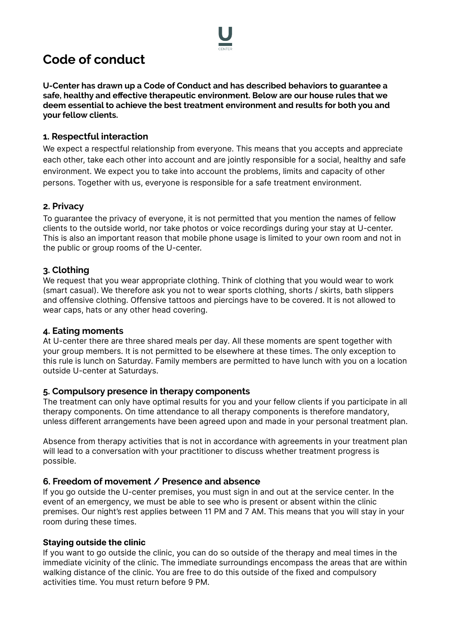

# **Code of conduct**

**U-Center has drawn up a Code of Conduct and has described behaviors to guarantee a safe, healthy and effective therapeutic environment. Below are our house rules that we deem essential to achieve the best treatment environment and results for both you and your fellow clients.**

## **1. Respectful interaction**

We expect a respectful relationship from everyone. This means that you accepts and appreciate each other, take each other into account and are jointly responsible for a social, healthy and safe environment. We expect you to take into account the problems, limits and capacity of other persons. Together with us, everyone is responsible for a safe treatment environment.

# **2. Privacy**

To guarantee the privacy of everyone, it is not permitted that you mention the names of fellow clients to the outside world, nor take photos or voice recordings during your stay at U-center. This is also an important reason that mobile phone usage is limited to your own room and not in the public or group rooms of the U-center.

# **3. Clothing**

We request that you wear appropriate clothing. Think of clothing that you would wear to work (smart casual). We therefore ask you not to wear sports clothing, shorts / skirts, bath slippers and offensive clothing. Offensive tattoos and piercings have to be covered. It is not allowed to wear caps, hats or any other head covering.

## **4. Eating moments**

At U-center there are three shared meals per day. All these moments are spent together with your group members. It is not permitted to be elsewhere at these times. The only exception to this rule is lunch on Saturday. Family members are permitted to have lunch with you on a location outside U-center at Saturdays.

## **5. Compulsory presence in therapy components**

The treatment can only have optimal results for you and your fellow clients if you participate in all therapy components. On time attendance to all therapy components is therefore mandatory, unless different arrangements have been agreed upon and made in your personal treatment plan.

Absence from therapy activities that is not in accordance with agreements in your treatment plan will lead to a conversation with your practitioner to discuss whether treatment progress is possible.

## **6. Freedom of movement / Presence and absence**

If you go outside the U-center premises, you must sign in and out at the service center. In the event of an emergency, we must be able to see who is present or absent within the clinic premises. Our night's rest applies between 11 PM and 7 AM. This means that you will stay in your room during these times.

## **Staying outside the clinic**

If you want to go outside the clinic, you can do so outside of the therapy and meal times in the immediate vicinity of the clinic. The immediate surroundings encompass the areas that are within walking distance of the clinic. You are free to do this outside of the fixed and compulsory activities time. You must return before 9 PM.